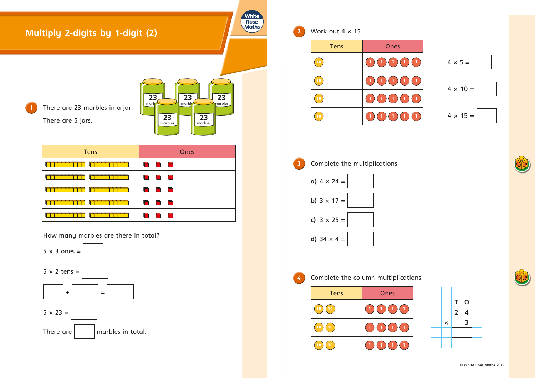

**3** Complete the multiplications. **a)**  $4 \times 24 =$ **b)**  $3 \times 17 =$ **c)**  $3 \times 25 =$ **d)** 34  $\times$  4 =

 Work out 4 × 15 Tens Ones **1 1 1 1 1** 4 × 5 = **1 1 1 1 1 1 1 1 1 1 1 1 1 1 1** 4 × 15 =







**4** Complete the column multiplications.

| <b>Tens</b> | <b>Ones</b>                              |
|-------------|------------------------------------------|
| 10          | <b>Ay</b><br>$\blacksquare$<br>$\vert$   |
| 10<br>0     | $\ket{1}$<br><b>Ay</b><br>$\blacksquare$ |
| 0<br>0      | <b>AD</b><br><b>Ly</b><br><b>AD</b>      |



|                | Τ              | $\mathbf 0$ |  |
|----------------|----------------|-------------|--|
|                | $\overline{2}$ | 4           |  |
| $\pmb{\times}$ |                | 3           |  |
|                |                |             |  |
|                |                |             |  |